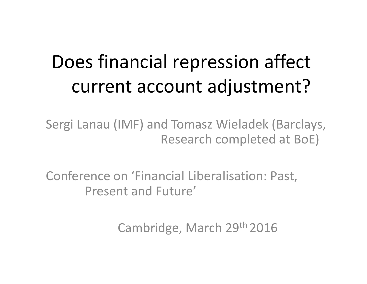# Does financial repression affect current account adjustment?

Sergi Lanau (IMF) and Tomasz Wieladek (Barclays, Research completed at BoE)

Conference on 'Financial Liberalisation: Past, Present and Future'

Cambridge, March 29th 2016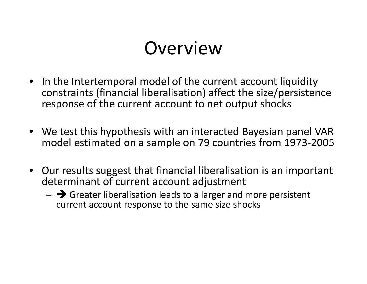#### Overview

- In the Intertemporal model of the current account liquidity constraints (financial liberalisation) affect the size/persistence response of the current account to net output shocks
- We test this hypothesis with an interacted Bayesian panel VAR model estimated on <sup>a</sup> sample on 79 countries from 1973‐2005
- Our results suggest that financial liberalisation is an important determinant of current account adjustment
	- $\rightarrow$  Greater liberalisation leads to a larger and more persistent current account response to the same size shocks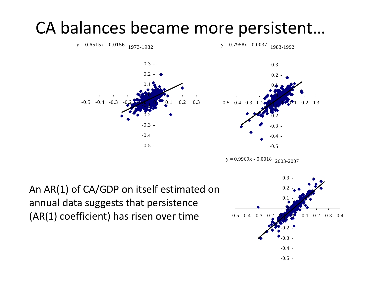#### CA balances became more persistent…



 $y = 0.9969x - 0.0018$  2003-2007

 $y = 0.7958x - 0.0037$  1983-1992

An AR(1) of CA/GDP on itself estimated on annual data suggests that persistence (AR(1) coefficient) has risen over time

 $y = 0.6515x - 0.0156$  1973-1982

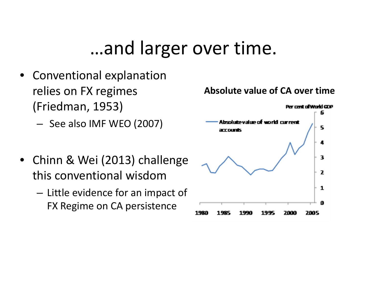## …and larger over time.

- $\bullet$  Conventional explanation relies on FX regimes (Friedman, 1953)
	- See also IMF WEO (2007)
- Chinn & Wei (2013) challenge this conventional wisdom
	- $-$  Little evidence for an impact of FX Regime on CA persistence

#### **Absolute value of CA over time**

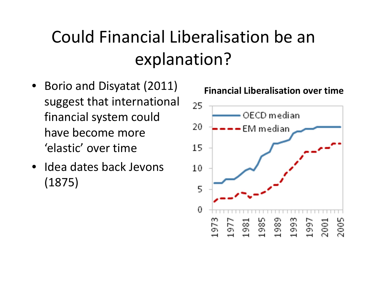## Could Financial Liberalisation be an explanation?

- Borio and Disyatat (2011) suggest that international financial system could have become more 'elastic' over time
- Idea dates back Jevons (1875)

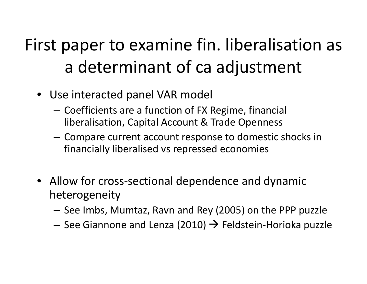## First paper to examine fin. liberalisation as a determinant of ca adjustment

- Use interacted panel VAR model
	- – $-$  Coefficients are a function of FX Regime, financial liberalisation, Capital Account & Trade Openness
	- $-$  Compare current account response to domestic shocks in financially liberalised vs repressed economies
- Allow for cross‐sectional dependence and dynamic heterogeneity
	- – $-$  See Imbs, Mumtaz, Ravn and Rey (2005) on the PPP puzzle
	- – $-$  See Giannone and Lenza (2010)  $\rightarrow$  Feldstein-Horioka puzzle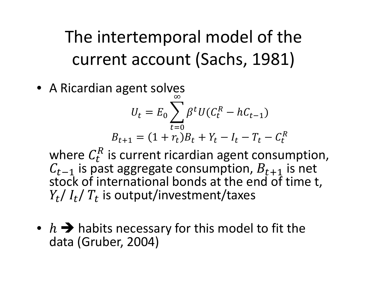The intertemporal model of the current account (Sachs, 1981)

• A Ricardian agent solves  $U_t = E_0 \sum_{t=0} \beta^t U(C_t^R - hC_{t-1})$  $B_{t+1} = (1 + r_t)B_t + Y_t - I_t - T_t - C_t^R$ 

where  $C_t^R$  is current ricardian agent consumption,  $C_{t-1}$  is past aggregate consumption,  $B_{t+1}$  is net stock of international bonds at the end of time t,  $Y_t/I_t/T_t$  is output/investment/taxes

•  $h \rightarrow h$  habits necessary for this model to fit the data (Gruber, 2004)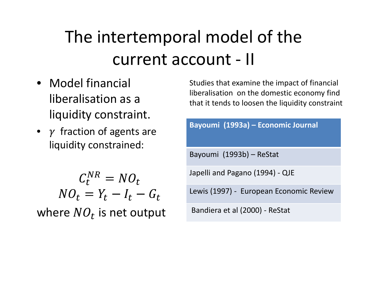## The intertemporal model of the current account - II

- Model financial liberalisation as a liquidity constraint.
- $\gamma$  fraction of agents are liquidity constrained:

 $C_t^{NR} = NO_t$  $NO_t = Y_t - I_t - G_t$ where  $NO<sub>t</sub>$  is net output

Studies that examine the impact of financial liberalisation on the domestic economy find that it tends to loosen the liquidity constraint

| Bayoumi (1993a) - Economic Journal      |
|-----------------------------------------|
| Bayoumi (1993b) - ReStat                |
| Japelli and Pagano (1994) - QJE         |
| Lewis (1997) - European Economic Review |
| Bandiera et al (2000) - ReStat          |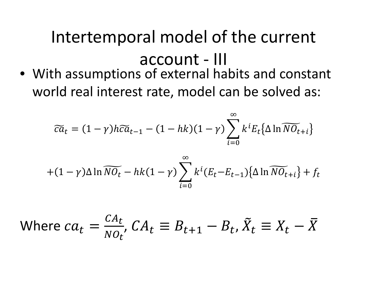# Intertemporal model of the current account - III

• With assumptions of external habits and constant world real interest rate, model can be solved as:

$$
\widetilde{ca}_t = (1 - \gamma)h\widetilde{ca}_{t-1} - (1 - hk)(1 - \gamma) \sum_{i=0}^{\infty} k^i E_t {\{\Delta \ln \widetilde{NO}_{t+i}\}}
$$

$$
+(1-\gamma)\Delta \ln \widetilde{N O_t} - hk(1-\gamma) \sum_{i=0}^{\infty} k^i (E_t - E_{t-1}) {\Delta \ln \widetilde{N O_{t+i}}} + f_t
$$

Where 
$$
ca_t = \frac{CA_t}{NO_t}
$$
,  $CA_t \equiv B_{t+1} - B_t$ ,  $\tilde{X}_t \equiv X_t - \overline{X}$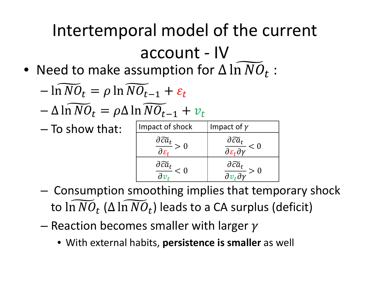# Intertemporal model of the current account ‐ IV

• Need to make assumption for  $\Delta \ln NO_t$  :

$$
-\ln\widetilde{NO}_t = \rho \ln \widetilde{NO}_{t-1} + \varepsilon_t
$$

- and the state of the state  $\Delta$  iii iv $\upsilon_t$   $\mu$  $\Delta$  iii iv $\upsilon_{t-1}$   $\tau$   $\upsilon_t$
- To show that:

| Impact of shock                                                | Impact of $\gamma$                                                             |
|----------------------------------------------------------------|--------------------------------------------------------------------------------|
| $\frac{\partial \widetilde{ca}_t}{\partial \varepsilon_t} > 0$ | $\frac{\partial \widetilde{ca}_t}{\partial \varepsilon_t \partial \gamma} < 0$ |
| $\frac{\partial \widetilde{ca}_t}{\partial x}<0$               | $\frac{\partial \widetilde{ca}_t}{\partial v_t \partial v} > 0$                |

- and the state of the state Consumption smoothing implies that temporary shock to  $\ln NO_t$  ( $\Delta \ln NO_t$ ) leads to a CA surplus (deficit)
- – $-$  Reaction becomes smaller with larger
	- With external habits, **persistence is smaller** as well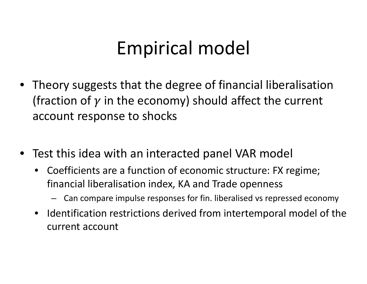## Empirical model

- Theory suggests that the degree of financial liberalisation (fraction of  $\gamma$  in the economy) should affect the current account response to shocks
- Test this idea with an interacted panel VAR model
	- Coefficients are <sup>a</sup> function of economic structure: FX regime; financial liberalisation index, KA and Trade openness
		- Can compare impulse responses for fin. liberalised vs repressed economy
	- Identification restrictions derived from intertemporal model of the current account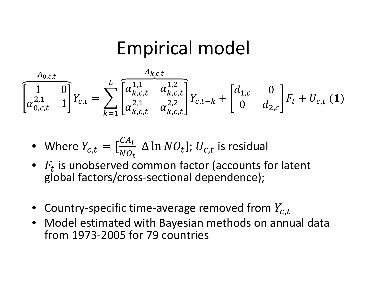### **Empirical model**

$$
\overbrace{\begin{bmatrix}1&0\\ \alpha_{0,c,t}^{2,1}&1 \end{bmatrix}}^{A_{0,c,t}} Y_{c,t} = \sum_{k=1}^{L} \overbrace{\begin{bmatrix} \alpha_{k,c,t}^{1,1} & \alpha_{k,c,t}^{1,2} \\ \alpha_{k,c,t}^{2,1} & \alpha_{k,c,t}^{2,2} \end{bmatrix}}^{A_{k,c,t}} Y_{c,t-k} + \begin{bmatrix} d_{1,c} & 0 \\ 0 & d_{2,c} \end{bmatrix} F_t + U_{c,t} (1)
$$

• Where 
$$
Y_{c,t} = \left[\frac{CA_t}{NO_t} \Delta \ln NO_t\right]
$$
;  $U_{c,t}$  is residual

- $F_t$  is unobserved common factor (accounts for latent global factors/cross-sectional dependence);
- Country-specific time-average removed from  $Y_{c,t}$
- Model estimated with Bayesian methods on annual data from 1973-2005 for 79 countries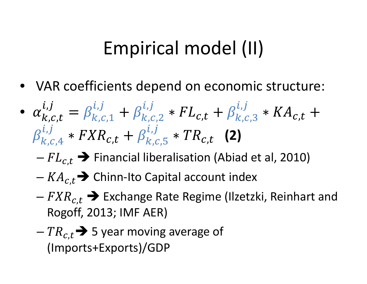## Empirical model (II)

- VAR coefficients depend on economic structure:
- $\bullet$   $\alpha_{k,c,t}^{\prime\prime}$  $\dot{\iota}$  ,  $\dot{\jmath}$  $k$ , $c,1$  $\boldsymbol{i}$  ,  $\boldsymbol{j}$  $k,c,2$  $\boldsymbol{i}$ ,  $\boldsymbol{j}$  $c,t$  ,  $P_{k,c,3}$  $\boldsymbol{i}$  ,  $\boldsymbol{j}$  $\bm c$  ,  $\bm t$  $k$ , $c,4$  $\dot{\iota}$  ,  $\dot{\jmath}$  $c$ , $t$  ,  $P_{k,c,5}$  $\boldsymbol{i}$  ,  $\boldsymbol{j}$ ,௧ **(2)**
	- – $- \, FL_{c,t} \bigrightarrow$  Financial liberalisation (Abiad et al, 2010)
	- – $-KA_{c,t}$   $\rightarrow$  Chinn-Ito Capital account index
	- – $-FXR_{c,t}$   $\blacktriangleright$  Exchange Rate Regime (Ilzetzki, Reinhart and Rogoff, 2013; IMF AER)
	- – $-{\it TR}_{c,t}{\bf\bigl\rightarrow S}$  5 year moving average of (Imports+Exports)/GDP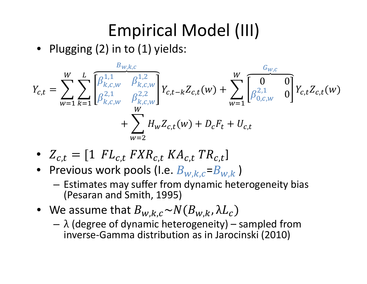## Empirical Model (III)

• Plugging (2) in to (1) yields:

$$
Y_{c,t} = \sum_{w=1}^{W} \sum_{k=1}^{L} \overline{\begin{bmatrix} \beta_{k,c,w}^{1,1} & \beta_{k,c,w}^{1,2} \\ \beta_{k,c,w}^{2,1} & \beta_{k,c,w}^{2,2} \end{bmatrix}} Y_{c,t-k} Z_{c,t}(w) + \sum_{w=1}^{W} \overline{\begin{bmatrix} 0 & 0 \\ \beta_{0,c,w}^{2,1} & 0 \end{bmatrix}} Y_{c,t} Z_{c,t}(w) + \sum_{w=2}^{W} H_w Z_{c,t}(w) + D_c F_t + U_{c,t}
$$

- $Z_{c,t} = [1 \; FL_{c,t} \; FXR_{c,t} \; KA_{c,t} \; TR_{c,t}]$
- $\bullet~$  Previous work pools (I.e.  $B_{w,k,c}$ = $B_{w,k}$  )
	- $-$  Estimates may suffer from dynamic heterogeneity bias (Pesaran and Smith, 1995)
- $\bullet$  We assume that  $B_{w,k,c}{\thicksim}N(B_{w,k},{\lambda}L_{c})$ 
	- λ (degree of dynamic heterogeneity) sampled from inverse ‐Gamma distribution as in Jarocinski (2010)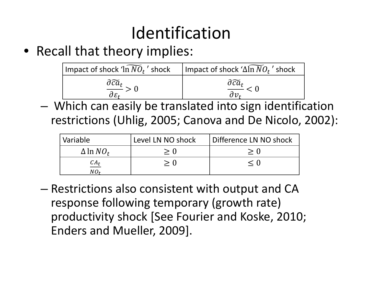## Identification

• Recall that theory implies:

| Impact of shock $\widehat{1n\,N\mathcal{O}_t}$ ' shock | Impact of shock ' $\Delta \widetilde{\ln NO_t}$ ' shock |
|--------------------------------------------------------|---------------------------------------------------------|
| $\frac{\partial \widetilde{ca}_{t}}{\cdot}$            | $\frac{\partial \widetilde{ca}_t}{\cdot}$               |

- Which can easily be translated into sign identification restrictions (Uhlig, 2005; Canova and De Nicolo, 2002):

| Variable                   | Level LN NO shock | Difference LN NO shock |
|----------------------------|-------------------|------------------------|
| $\Delta \ln NO_t$          | > ()              |                        |
| $\frac{CA_t}{2}$<br>$NO_t$ | > 0               | $\leq$ ()              |

- Restrictions also consistent with output and CA response following temporary (growth rate) productivity shock [See Fourier and Koske, 2010; Enders and Mueller, 2009].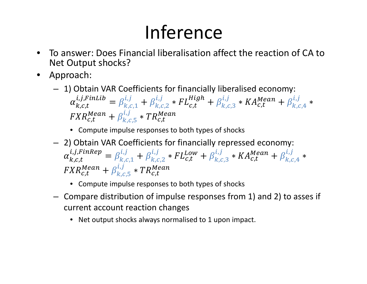# Inference

- $\bullet$  To answer: Does Financial liberalisation affect the reaction of CA to Net Output shocks?
- Approach:
	- 1) Obtain VAR Coefficients for financially liberalised economy:  $\alpha_{k,c,t}^{i,j,FinLib} = \beta_{k,c,1}^{i,j} + \beta_{k,c,2}^{i,j} * FL_{c,t}^{High} + \beta_{k,c,3}^{i,j} * KA_{c,t}^{Mean} + \beta_{k,c,4}^{i,j} *$  $FXR_{c,t}^{Mean} + \beta_{k,c,5}^{i,j} * TR_{c,t}^{Mean}$ 
		- Compute impulse responses to both types of shocks
	- 2) Obtain VAR Coefficients for financially repressed economy:  $\alpha_{k.c.t}^{i,j,FinRep} = \beta_{k.c.1}^{i,j} + \beta_{k.c.2}^{i,j} * FL_{c.t}^{Low} + \beta_{k.c.3}^{i,j} * KA_{c.t}^{Mean} + \beta_{k.c.4}^{i,j} *$  $FXR_{c,t}^{Mean} + \beta_{k,c}^{i,j} * TR_{c,t}^{Mean}$ 
		- Compute impulse responses to both types of shocks
	- Compare distribution of impulse responses from 1) and 2) to asses if current account reaction changes
		- $\bullet$ Net output shocks always normalised to 1 upon impact.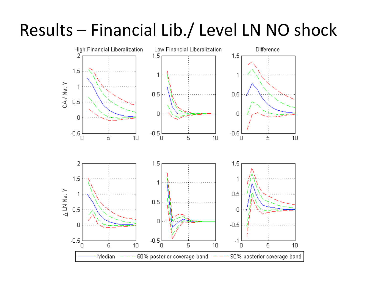#### Results - Financial Lib./ Level LN NO shock

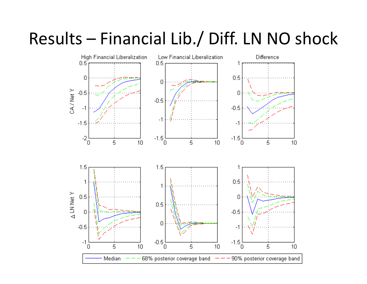#### Results - Financial Lib./ Diff. LN NO shock

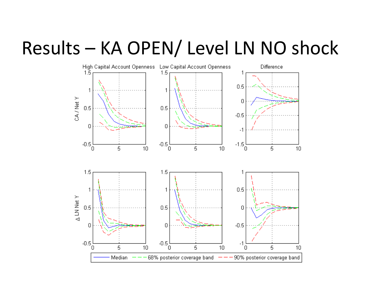### Results - KA OPEN/ Level LN NO shock

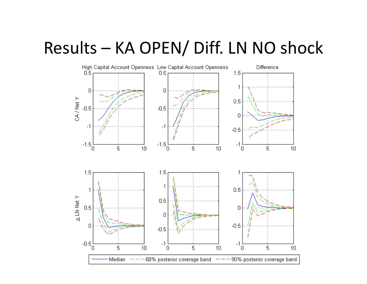#### Results - KA OPEN/ Diff. LN NO shock

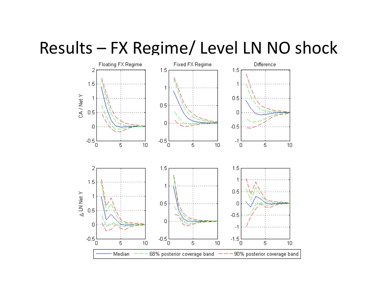#### Results - FX Regime/ Level LN NO shock

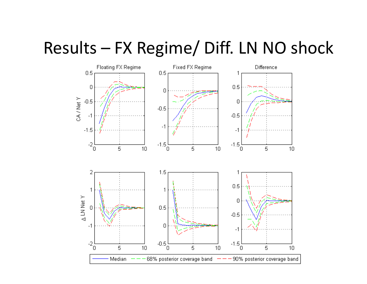#### Results - FX Regime/ Diff. LN NO shock

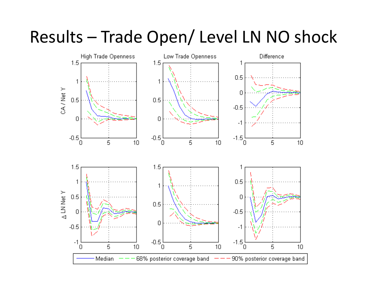#### Results - Trade Open/ Level LN NO shock

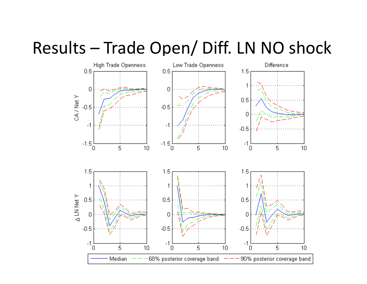#### Results - Trade Open/ Diff. LN NO shock

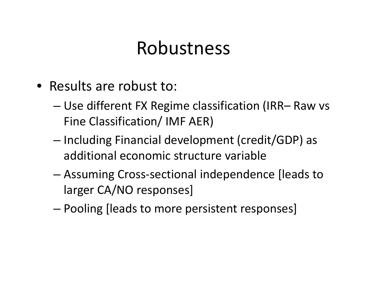#### Robustness

- Results are robust to:
	- – Use different FX Regime classification (IRR– Raw vs Fine Classification/ IMF AER)
	- – $-$  Including Financial development (credit/GDP) as additional economic structure variable
	- – Assuming Cross‐sectional independence [leads to larger CA/NO responses]
	- –Pooling [leads to more persistent responses]